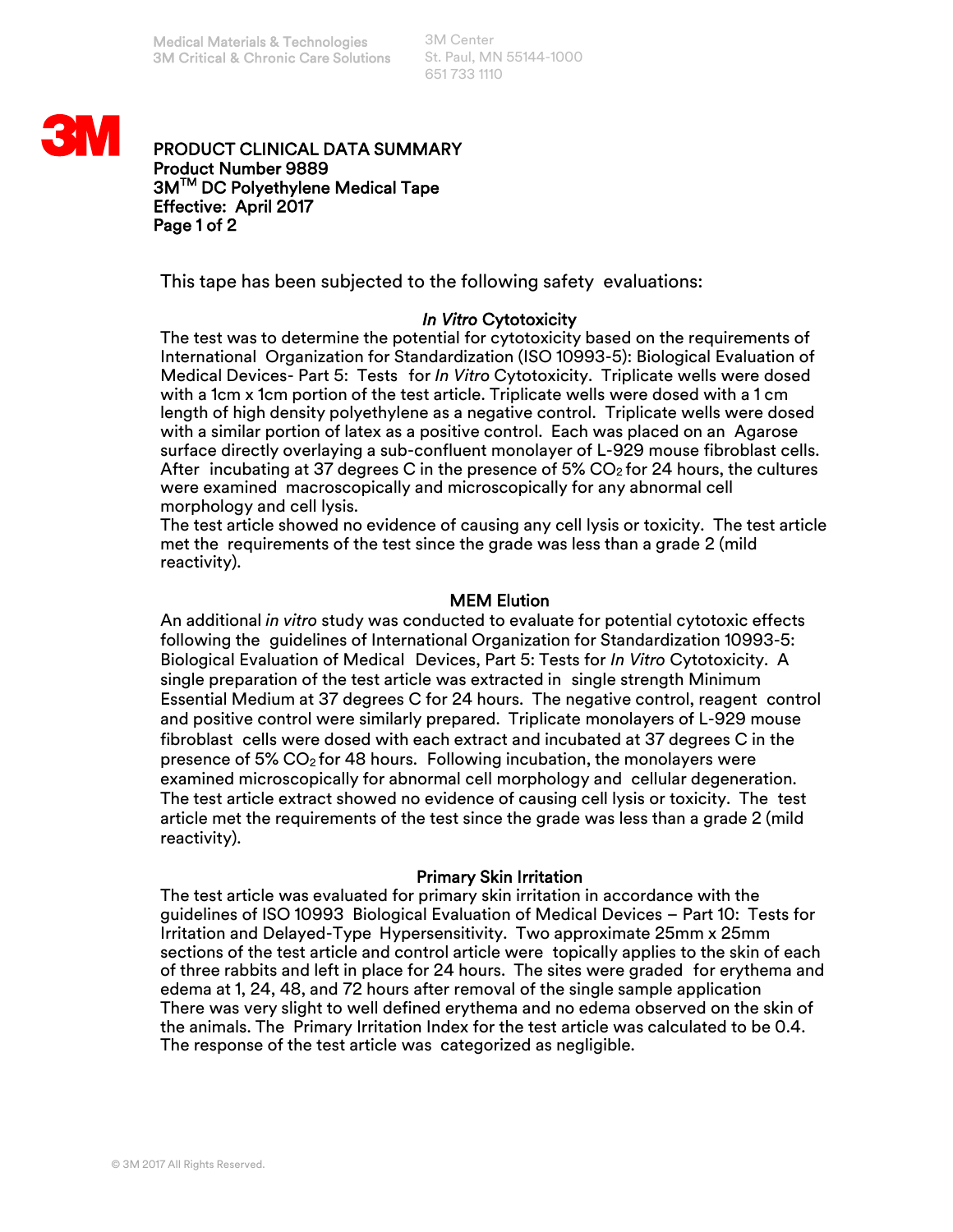3M Center St. Paul, MN 55144-1000 651 733 1110



## PRODUCT CLINICAL DATA SUMMARY Product Number 9889 3MTM DC Polyethylene Medical Tape Effective: April 2017 Page 1 of 2

This tape has been subjected to the following safety evaluations:

# *In Vitro* Cytotoxicity

The test was to determine the potential for cytotoxicity based on the requirements of International Organization for Standardization (ISO 10993-5): Biological Evaluation of Medical Devices- Part 5: Tests for *In Vitro* Cytotoxicity. Triplicate wells were dosed with a 1cm x 1cm portion of the test article. Triplicate wells were dosed with a 1 cm length of high density polyethylene as a negative control. Triplicate wells were dosed with a similar portion of latex as a positive control. Each was placed on an Agarose surface directly overlaying a sub-confluent monolayer of L-929 mouse fibroblast cells. After incubating at 37 degrees C in the presence of 5%  $CO<sub>2</sub>$  for 24 hours, the cultures were examined macroscopically and microscopically for any abnormal cell morphology and cell lysis.

The test article showed no evidence of causing any cell lysis or toxicity. The test article met the requirements of the test since the grade was less than a grade 2 (mild reactivity).

## MEM Elution

An additional *in vitro* study was conducted to evaluate for potential cytotoxic effects following the guidelines of International Organization for Standardization 10993-5: Biological Evaluation of Medical Devices, Part 5: Tests for *In Vitro* Cytotoxicity. A single preparation of the test article was extracted in single strength Minimum Essential Medium at 37 degrees C for 24 hours. The negative control, reagent control and positive control were similarly prepared. Triplicate monolayers of L-929 mouse fibroblast cells were dosed with each extract and incubated at 37 degrees C in the presence of 5%  $CO<sub>2</sub>$  for 48 hours. Following incubation, the monolayers were examined microscopically for abnormal cell morphology and cellular degeneration. The test article extract showed no evidence of causing cell lysis or toxicity. The test article met the requirements of the test since the grade was less than a grade 2 (mild reactivity).

## Primary Skin Irritation

The test article was evaluated for primary skin irritation in accordance with the guidelines of ISO 10993 Biological Evaluation of Medical Devices – Part 10: Tests for Irritation and Delayed-Type Hypersensitivity. Two approximate 25mm x 25mm sections of the test article and control article were topically applies to the skin of each of three rabbits and left in place for 24 hours. The sites were graded for erythema and edema at 1, 24, 48, and 72 hours after removal of the single sample application There was very slight to well defined erythema and no edema observed on the skin of the animals. The Primary Irritation Index for the test article was calculated to be 0.4. The response of the test article was categorized as negligible.